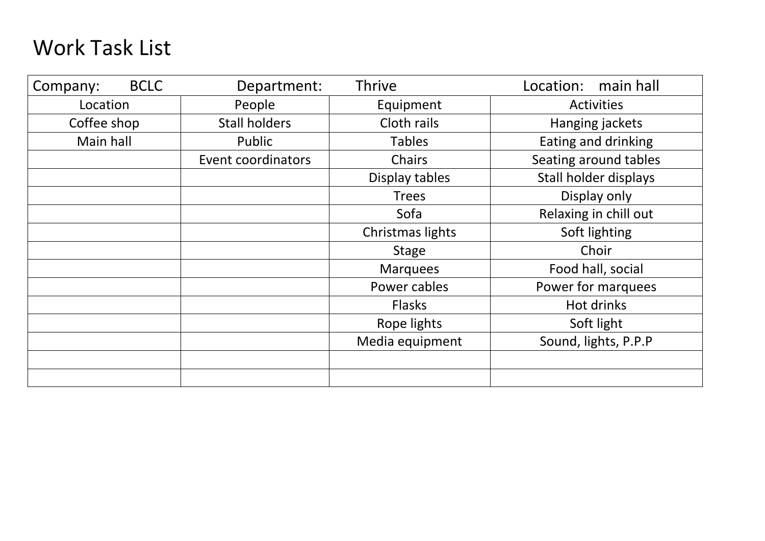## Work Task List

| Company:    | <b>BCLC</b> | Department:               | <b>Thrive</b><br>Location: main hall |                       |  |  |
|-------------|-------------|---------------------------|--------------------------------------|-----------------------|--|--|
| Location    |             | People                    | Equipment                            | <b>Activities</b>     |  |  |
| Coffee shop |             | <b>Stall holders</b>      | Cloth rails                          | Hanging jackets       |  |  |
| Main hall   |             | Public                    | <b>Tables</b>                        | Eating and drinking   |  |  |
|             |             | <b>Event coordinators</b> | <b>Chairs</b>                        | Seating around tables |  |  |
|             |             |                           | Display tables                       | Stall holder displays |  |  |
|             |             |                           | <b>Trees</b>                         | Display only          |  |  |
|             |             |                           | Sofa                                 | Relaxing in chill out |  |  |
|             |             |                           | Christmas lights                     | Soft lighting         |  |  |
|             |             |                           | <b>Stage</b>                         | Choir                 |  |  |
|             |             |                           | <b>Marquees</b>                      | Food hall, social     |  |  |
|             |             |                           | Power cables                         | Power for marquees    |  |  |
|             |             |                           | <b>Flasks</b>                        | Hot drinks            |  |  |
|             |             |                           | Rope lights                          | Soft light            |  |  |
|             |             |                           | Media equipment                      | Sound, lights, P.P.P  |  |  |
|             |             |                           |                                      |                       |  |  |
|             |             |                           |                                      |                       |  |  |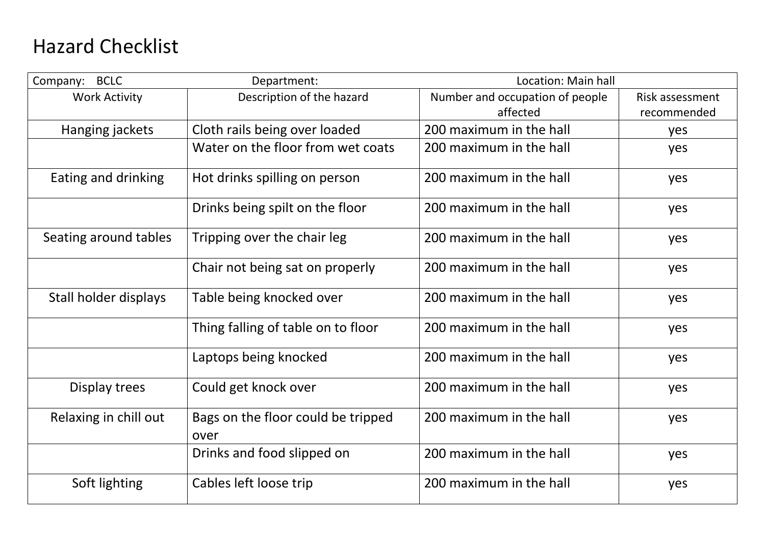## Hazard Checklist

| <b>BCLC</b><br>Company: | Department:                        | Location: Main hall             |                 |  |  |
|-------------------------|------------------------------------|---------------------------------|-----------------|--|--|
| <b>Work Activity</b>    | Description of the hazard          | Number and occupation of people | Risk assessment |  |  |
|                         |                                    | affected                        | recommended     |  |  |
| Hanging jackets         | Cloth rails being over loaded      | 200 maximum in the hall         | yes             |  |  |
|                         | Water on the floor from wet coats  | 200 maximum in the hall         | yes             |  |  |
| Eating and drinking     | Hot drinks spilling on person      | 200 maximum in the hall         | yes             |  |  |
|                         | Drinks being spilt on the floor    | 200 maximum in the hall         | yes             |  |  |
| Seating around tables   | Tripping over the chair leg        | 200 maximum in the hall         | yes             |  |  |
|                         | Chair not being sat on properly    | 200 maximum in the hall         | yes             |  |  |
| Stall holder displays   | Table being knocked over           | 200 maximum in the hall         | yes             |  |  |
|                         | Thing falling of table on to floor | 200 maximum in the hall         | yes             |  |  |
|                         | Laptops being knocked              | 200 maximum in the hall         | yes             |  |  |
| Display trees           | Could get knock over               | 200 maximum in the hall         | yes             |  |  |
| Relaxing in chill out   | Bags on the floor could be tripped | 200 maximum in the hall         | yes             |  |  |
|                         | over                               |                                 |                 |  |  |
|                         | Drinks and food slipped on         | 200 maximum in the hall         | yes             |  |  |
| Soft lighting           | Cables left loose trip             | 200 maximum in the hall         | yes             |  |  |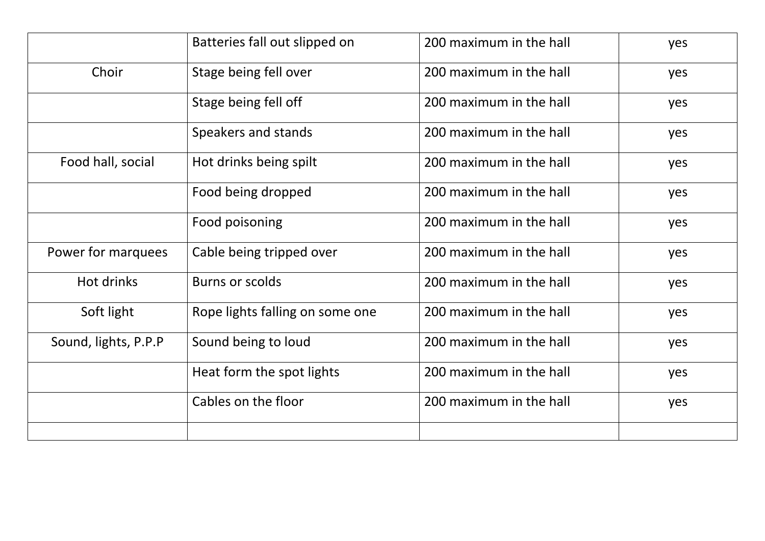|                      | Batteries fall out slipped on   | 200 maximum in the hall | yes |
|----------------------|---------------------------------|-------------------------|-----|
| Choir                | Stage being fell over           | 200 maximum in the hall | yes |
|                      | Stage being fell off            | 200 maximum in the hall | yes |
|                      | Speakers and stands             | 200 maximum in the hall | yes |
| Food hall, social    | Hot drinks being spilt          | 200 maximum in the hall | yes |
|                      | Food being dropped              | 200 maximum in the hall | yes |
|                      | Food poisoning                  | 200 maximum in the hall | yes |
| Power for marquees   | Cable being tripped over        | 200 maximum in the hall | yes |
| Hot drinks           | Burns or scolds                 | 200 maximum in the hall | yes |
| Soft light           | Rope lights falling on some one | 200 maximum in the hall | yes |
| Sound, lights, P.P.P | Sound being to loud             | 200 maximum in the hall | yes |
|                      | Heat form the spot lights       | 200 maximum in the hall | yes |
|                      | Cables on the floor             | 200 maximum in the hall | yes |
|                      |                                 |                         |     |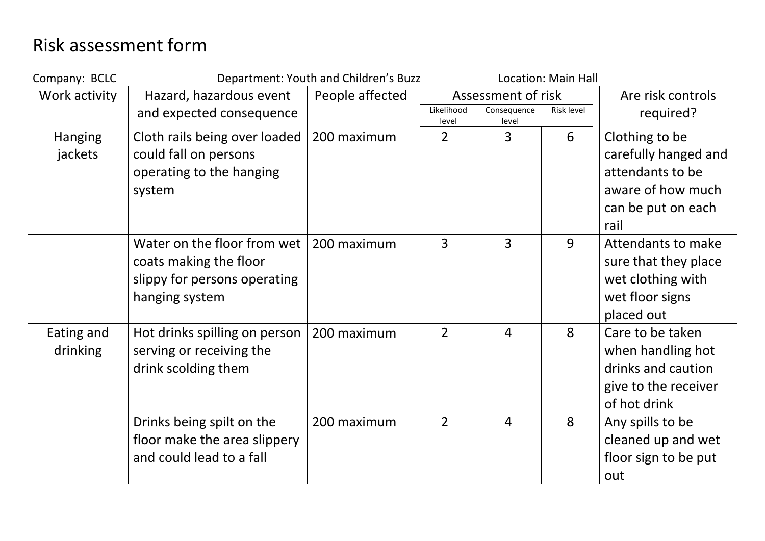## Risk assessment form

| Company: BCLC             | Department: Youth and Children's Buzz                                                                   |                 |                     |                      | <b>Location: Main Hall</b> |                                                                                                               |  |
|---------------------------|---------------------------------------------------------------------------------------------------------|-----------------|---------------------|----------------------|----------------------------|---------------------------------------------------------------------------------------------------------------|--|
| Work activity             | Hazard, hazardous event                                                                                 | People affected |                     | Assessment of risk   |                            | Are risk controls                                                                                             |  |
|                           | and expected consequence                                                                                |                 | Likelihood<br>level | Consequence<br>level | <b>Risk level</b>          | required?                                                                                                     |  |
| <b>Hanging</b><br>jackets | Cloth rails being over loaded<br>could fall on persons<br>operating to the hanging<br>system            | 200 maximum     | $\overline{2}$      | $\overline{3}$       | 6                          | Clothing to be<br>carefully hanged and<br>attendants to be<br>aware of how much<br>can be put on each<br>rail |  |
|                           | Water on the floor from wet<br>coats making the floor<br>slippy for persons operating<br>hanging system | 200 maximum     | $\overline{3}$      | $\overline{3}$       | 9                          | Attendants to make<br>sure that they place<br>wet clothing with<br>wet floor signs<br>placed out              |  |
| Eating and<br>drinking    | Hot drinks spilling on person<br>serving or receiving the<br>drink scolding them                        | 200 maximum     | $\overline{2}$      | $\overline{4}$       | 8                          | Care to be taken<br>when handling hot<br>drinks and caution<br>give to the receiver<br>of hot drink           |  |
|                           | Drinks being spilt on the<br>floor make the area slippery<br>and could lead to a fall                   | 200 maximum     | $\overline{2}$      | $\overline{4}$       | 8                          | Any spills to be<br>cleaned up and wet<br>floor sign to be put<br>out                                         |  |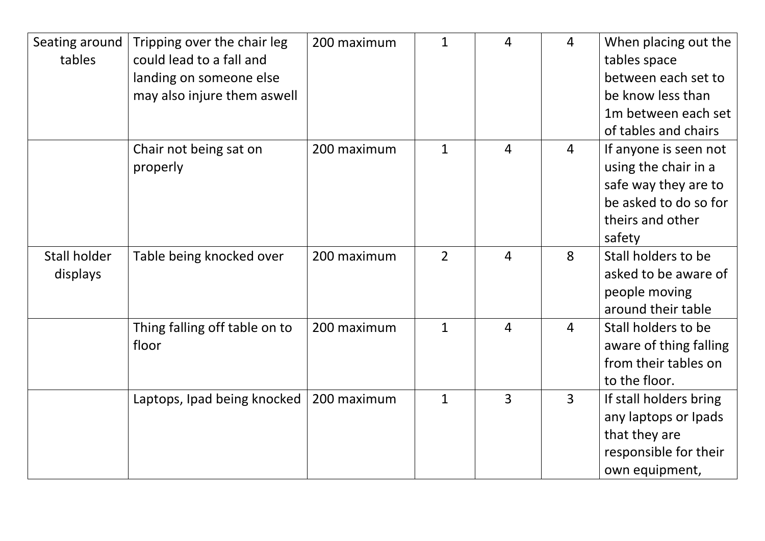| Seating around<br>tables | Tripping over the chair leg<br>could lead to a fall and<br>landing on someone else<br>may also injure them aswell | 200 maximum | $\mathbf{1}$ | 4              | $\overline{4}$ | When placing out the<br>tables space<br>between each set to<br>be know less than<br>1m between each set<br>of tables and chairs |
|--------------------------|-------------------------------------------------------------------------------------------------------------------|-------------|--------------|----------------|----------------|---------------------------------------------------------------------------------------------------------------------------------|
|                          | Chair not being sat on<br>properly                                                                                | 200 maximum | $\mathbf{1}$ | $\overline{4}$ | $\overline{4}$ | If anyone is seen not<br>using the chair in a<br>safe way they are to<br>be asked to do so for<br>theirs and other<br>safety    |
| Stall holder<br>displays | Table being knocked over                                                                                          | 200 maximum | $2^{\circ}$  | $\overline{4}$ | 8              | Stall holders to be<br>asked to be aware of<br>people moving<br>around their table                                              |
|                          | Thing falling off table on to<br>floor                                                                            | 200 maximum | $\mathbf{1}$ | $\overline{4}$ | $\overline{4}$ | Stall holders to be<br>aware of thing falling<br>from their tables on<br>to the floor.                                          |
|                          | Laptops, Ipad being knocked                                                                                       | 200 maximum | $\mathbf{1}$ | 3              | $\overline{3}$ | If stall holders bring<br>any laptops or Ipads<br>that they are<br>responsible for their<br>own equipment,                      |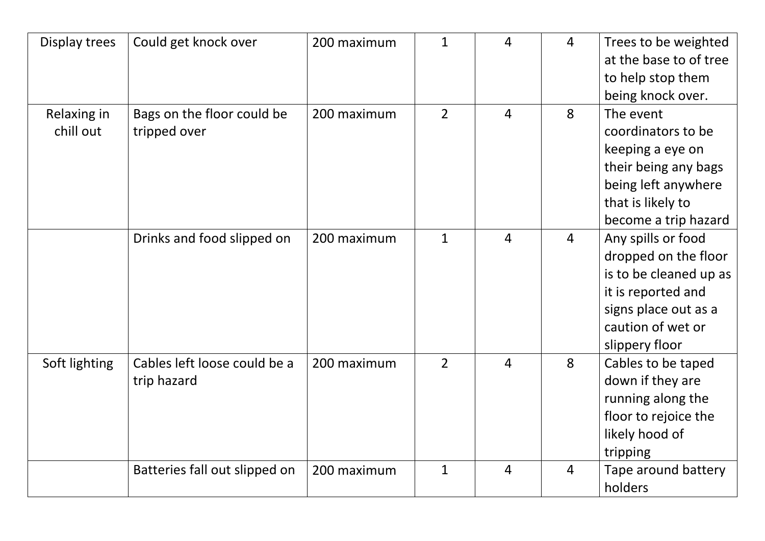| Display trees            | Could get knock over                        | 200 maximum | $\mathbf{1}$   | $\overline{4}$ | $\overline{4}$ | Trees to be weighted<br>at the base to of tree<br>to help stop them<br>being knock over.                                                                  |
|--------------------------|---------------------------------------------|-------------|----------------|----------------|----------------|-----------------------------------------------------------------------------------------------------------------------------------------------------------|
| Relaxing in<br>chill out | Bags on the floor could be<br>tripped over  | 200 maximum | $\overline{2}$ | $\overline{4}$ | 8              | The event<br>coordinators to be<br>keeping a eye on<br>their being any bags<br>being left anywhere<br>that is likely to<br>become a trip hazard           |
|                          | Drinks and food slipped on                  | 200 maximum | $\mathbf{1}$   | $\overline{4}$ | $\overline{4}$ | Any spills or food<br>dropped on the floor<br>is to be cleaned up as<br>it is reported and<br>signs place out as a<br>caution of wet or<br>slippery floor |
| Soft lighting            | Cables left loose could be a<br>trip hazard | 200 maximum | $\overline{2}$ | $\overline{4}$ | 8              | Cables to be taped<br>down if they are<br>running along the<br>floor to rejoice the<br>likely hood of<br>tripping                                         |
|                          | Batteries fall out slipped on               | 200 maximum | $\mathbf{1}$   | $\overline{4}$ | $\overline{4}$ | Tape around battery<br>holders                                                                                                                            |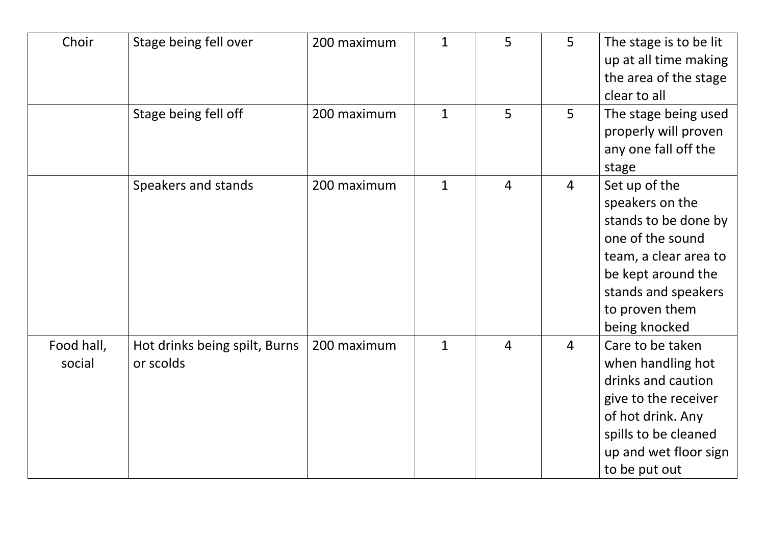| Choir                | Stage being fell over                      | 200 maximum | $\mathbf{1}$ | 5              | 5              | The stage is to be lit<br>up at all time making<br>the area of the stage<br>clear to all                                                                                              |
|----------------------|--------------------------------------------|-------------|--------------|----------------|----------------|---------------------------------------------------------------------------------------------------------------------------------------------------------------------------------------|
|                      | Stage being fell off                       | 200 maximum | $\mathbf{1}$ | 5              | 5              | The stage being used<br>properly will proven<br>any one fall off the<br>stage                                                                                                         |
|                      | Speakers and stands                        | 200 maximum | $\mathbf{1}$ | $\overline{4}$ | $\overline{4}$ | Set up of the<br>speakers on the<br>stands to be done by<br>one of the sound<br>team, a clear area to<br>be kept around the<br>stands and speakers<br>to proven them<br>being knocked |
| Food hall,<br>social | Hot drinks being spilt, Burns<br>or scolds | 200 maximum | $\mathbf{1}$ | $\overline{4}$ | 4              | Care to be taken<br>when handling hot<br>drinks and caution<br>give to the receiver<br>of hot drink. Any<br>spills to be cleaned<br>up and wet floor sign<br>to be put out            |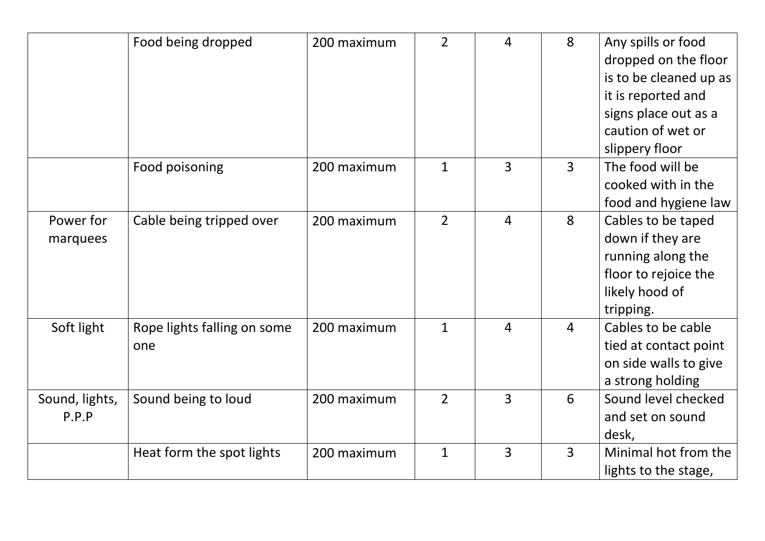|                         | Food being dropped                 | 200 maximum | $\overline{2}$ | $\overline{4}$ | 8              | Any spills or food<br>dropped on the floor<br>is to be cleaned up as<br>it is reported and<br>signs place out as a<br>caution of wet or |
|-------------------------|------------------------------------|-------------|----------------|----------------|----------------|-----------------------------------------------------------------------------------------------------------------------------------------|
|                         | Food poisoning                     | 200 maximum | $\mathbf{1}$   | $\overline{3}$ | $\overline{3}$ | slippery floor<br>The food will be<br>cooked with in the<br>food and hygiene law                                                        |
| Power for<br>marquees   | Cable being tripped over           | 200 maximum | $\overline{2}$ | $\overline{4}$ | 8              | Cables to be taped<br>down if they are<br>running along the<br>floor to rejoice the<br>likely hood of<br>tripping.                      |
| Soft light              | Rope lights falling on some<br>one | 200 maximum | $\mathbf{1}$   | $\overline{4}$ | $\overline{4}$ | Cables to be cable<br>tied at contact point<br>on side walls to give<br>a strong holding                                                |
| Sound, lights,<br>P.P.P | Sound being to loud                | 200 maximum | $\overline{2}$ | 3              | 6              | Sound level checked<br>and set on sound<br>desk,                                                                                        |
|                         | Heat form the spot lights          | 200 maximum | $\mathbf{1}$   | 3              | 3              | Minimal hot from the<br>lights to the stage,                                                                                            |